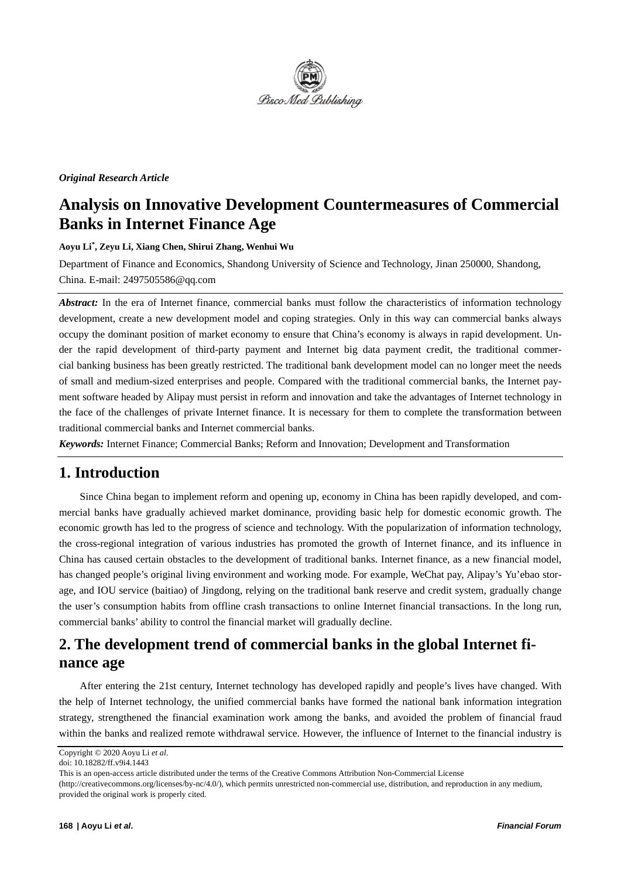

#### *Original Research Article*

## **Analysis on Innovative Development Countermeasures of Commercial Banks in Internet Finance Age**

**Aoyu Li\* , Zeyu Li, Xiang Chen, Shirui Zhang, Wenhui Wu**

Department of Finance and Economics, Shandong University of Science and Technology, Jinan 250000, Shandong, China. E-mail: 2497505586@qq.com

*Abstract:* In the era of Internet finance, commercial banks must follow the characteristics of information technology development, create a new development model and coping strategies. Only in this way can commercial banks always occupy the dominant position of market economy to ensure that China's economy is always in rapid development. Under the rapid development of third-party payment and Internet big data payment credit, the traditional commercial banking business has been greatly restricted. The traditional bank development model can no longer meet the needs of small and medium-sized enterprises and people. Compared with the traditional commercial banks, the Internet payment software headed by Alipay must persist in reform and innovation and take the advantages of Internet technology in the face of the challenges of private Internet finance. It is necessary for them to complete the transformation between traditional commercial banks and Internet commercial banks.

*Keywords:* Internet Finance; Commercial Banks; Reform and Innovation; Development and Transformation

### **1. Introduction**

Since China began to implement reform and opening up, economy in China has been rapidly developed, and commercial banks have gradually achieved market dominance, providing basic help for domestic economic growth. The economic growth has led to the progress of science and technology. With the popularization of information technology, the cross-regional integration of various industries has promoted the growth of Internet finance, and its influence in China has caused certain obstacles to the development of traditional banks. Internet finance, as a new financial model, has changed people's original living environment and working mode. For example, WeChat pay, Alipay's Yu'ebao storage, and IOU service (baitiao) of Jingdong, relying on the traditional bank reserve and credit system, gradually change the user's consumption habits from offline crash transactions to online Internet financial transactions. In the long run, commercial banks' ability to control the financial market will gradually decline.

## **2. The development trend of commercial banks in the global Internet finance age**

After entering the 21st century, Internet technology has developed rapidly and people's lives have changed. With the help of Internet technology, the unified commercial banks have formed the national bank information integration strategy, strengthened the financial examination work among the banks, and avoided the problem of financial fraud within the banks and realized remote withdrawal service. However, the influence of Internet to the financial industry is

Copyright © 2020 Aoyu Li *et al*.

doi: 10.18282/ff.v9i4.1443

This is an open-access article distributed under the terms of the Creative Commons Attribution Non-Commercial License

<sup>(</sup>http://creativecommons.org/licenses/by-nc/4.0/), which permits unrestricted non-commercial use, distribution, and reproduction in any medium, provided the original work is properly cited.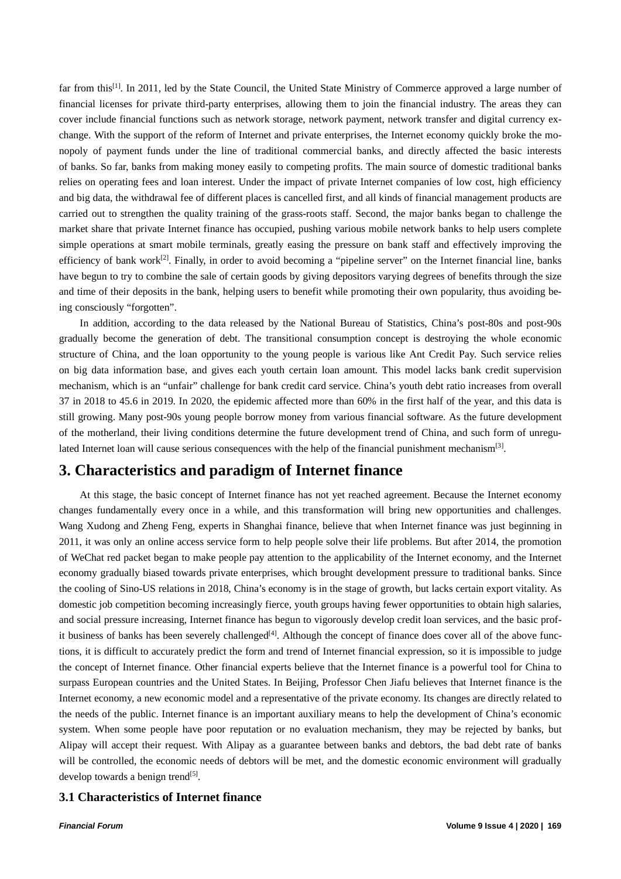far from this<sup>[1]</sup>. In 2011, led by the State Council, the United State Ministry of Commerce approved a large number of financial licenses for private third-party enterprises, allowing them to join the financial industry. The areas they can cover include financial functions such as network storage, network payment, network transfer and digital currency exchange. With the support of the reform of Internet and private enterprises, the Internet economy quickly broke the monopoly of payment funds under the line of traditional commercial banks, and directly affected the basic interests of banks. So far, banks from making money easily to competing profits. The main source of domestic traditional banks relies on operating fees and loan interest. Under the impact of private Internet companies of low cost, high efficiency and big data, the withdrawal fee of different places is cancelled first, and all kinds of financial management products are carried out to strengthen the quality training of the grass-roots staff. Second, the major banks began to challenge the market share that private Internet finance has occupied, pushing various mobile network banks to help users complete simple operations at smart mobile terminals, greatly easing the pressure on bank staff and effectively improving the efficiency of bank work<sup>[2]</sup>. Finally, in order to avoid becoming a "pipeline server" on the Internet financial line, banks have begun to try to combine the sale of certain goods by giving depositors varying degrees of benefits through the size and time of their deposits in the bank, helping users to benefit while promoting their own popularity, thus avoiding being consciously "forgotten".

In addition, according to the data released by the National Bureau of Statistics, China's post-80s and post-90s gradually become the generation of debt. The transitional consumption concept is destroying the whole economic structure of China, and the loan opportunity to the young people is various like Ant Credit Pay. Such service relies on big data information base, and gives each youth certain loan amount. This model lacks bank credit supervision mechanism, which is an "unfair" challenge for bank credit card service. China's youth debt ratio increases from overall 37 in 2018 to 45.6 in 2019. In 2020, the epidemic affected more than 60% in the first half of the year, and this data is still growing. Many post-90s young people borrow money from various financial software. As the future development of the motherland, their living conditions determine the future development trend of China, and such form of unregulated Internet loan will cause serious consequences with the help of the financial punishment mechanism[3].

### **3. Characteristics and paradigm of Internet finance**

At this stage, the basic concept of Internet finance has not yet reached agreement. Because the Internet economy changes fundamentally every once in a while, and this transformation will bring new opportunities and challenges. Wang Xudong and Zheng Feng, experts in Shanghai finance, believe that when Internet finance was just beginning in 2011, it was only an online access service form to help people solve their life problems. But after 2014, the promotion of WeChat red packet began to make people pay attention to the applicability of the Internet economy, and the Internet economy gradually biased towards private enterprises, which brought development pressure to traditional banks. Since the cooling of Sino-US relations in 2018, China's economy is in the stage of growth, but lacks certain export vitality. As domestic job competition becoming increasingly fierce, youth groups having fewer opportunities to obtain high salaries, and social pressure increasing, Internet finance has begun to vigorously develop credit loan services, and the basic profit business of banks has been severely challenged<sup>[4]</sup>. Although the concept of finance does cover all of the above functions, it is difficult to accurately predict the form and trend of Internet financial expression, so it is impossible to judge the concept of Internet finance. Other financial experts believe that the Internet finance is a powerful tool for China to surpass European countries and the United States. In Beijing, Professor Chen Jiafu believes that Internet finance is the Internet economy, a new economic model and a representative of the private economy. Its changes are directly related to the needs of the public. Internet finance is an important auxiliary means to help the development of China's economic system. When some people have poor reputation or no evaluation mechanism, they may be rejected by banks, but Alipay will accept their request. With Alipay as a guarantee between banks and debtors, the bad debt rate of banks will be controlled, the economic needs of debtors will be met, and the domestic economic environment will gradually develop towards a benign trend<sup>[5]</sup>.

#### **3.1 Characteristics of Internet finance**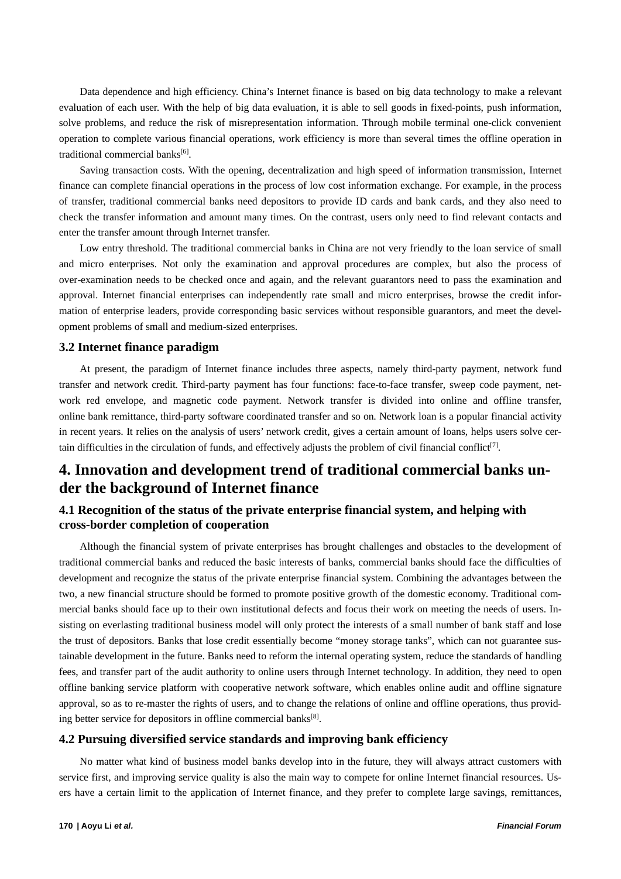Data dependence and high efficiency. China's Internet finance is based on big data technology to make a relevant evaluation of each user. With the help of big data evaluation, it is able to sell goods in fixed-points, push information, solve problems, and reduce the risk of misrepresentation information. Through mobile terminal one-click convenient operation to complete various financial operations, work efficiency is more than several times the offline operation in traditional commercial banks<sup>[6]</sup>.

Saving transaction costs. With the opening, decentralization and high speed of information transmission, Internet finance can complete financial operations in the process of low cost information exchange. For example, in the process of transfer, traditional commercial banks need depositors to provide ID cards and bank cards, and they also need to check the transfer information and amount many times. On the contrast, users only need to find relevant contacts and enter the transfer amount through Internet transfer.

Low entry threshold. The traditional commercial banks in China are not very friendly to the loan service of small and micro enterprises. Not only the examination and approval procedures are complex, but also the process of over-examination needs to be checked once and again, and the relevant guarantors need to pass the examination and approval. Internet financial enterprises can independently rate small and micro enterprises, browse the credit information of enterprise leaders, provide corresponding basic services without responsible guarantors, and meet the development problems of small and medium-sized enterprises.

#### **3.2 Internet finance paradigm**

At present, the paradigm of Internet finance includes three aspects, namely third-party payment, network fund transfer and network credit. Third-party payment has four functions: face-to-face transfer, sweep code payment, network red envelope, and magnetic code payment. Network transfer is divided into online and offline transfer, online bank remittance, third-party software coordinated transfer and so on. Network loan is a popular financial activity in recent years. It relies on the analysis of users' network credit, gives a certain amount of loans, helps users solve certain difficulties in the circulation of funds, and effectively adjusts the problem of civil financial conflict<sup>[7]</sup>.

## **4. Innovation and development trend of traditional commercial banks under the background of Internet finance**

### **4.1 Recognition of the status of the private enterprise financial system, and helping with cross-border completion of cooperation**

Although the financial system of private enterprises has brought challenges and obstacles to the development of traditional commercial banks and reduced the basic interests of banks, commercial banks should face the difficulties of development and recognize the status of the private enterprise financial system. Combining the advantages between the two, a new financial structure should be formed to promote positive growth of the domestic economy. Traditional commercial banks should face up to their own institutional defects and focus their work on meeting the needs of users. Insisting on everlasting traditional business model will only protect the interests of a small number of bank staff and lose the trust of depositors. Banks that lose credit essentially become "money storage tanks", which can not guarantee sustainable development in the future. Banks need to reform the internal operating system, reduce the standards of handling fees, and transfer part of the audit authority to online users through Internet technology. In addition, they need to open offline banking service platform with cooperative network software, which enables online audit and offline signature approval, so as to re-master the rights of users, and to change the relations of online and offline operations, thus providing better service for depositors in offline commercial banks<sup>[8]</sup>.

#### **4.2 Pursuing diversified service standards and improving bank efficiency**

No matter what kind of business model banks develop into in the future, they will always attract customers with service first, and improving service quality is also the main way to compete for online Internet financial resources. Users have a certain limit to the application of Internet finance, and they prefer to complete large savings, remittances,